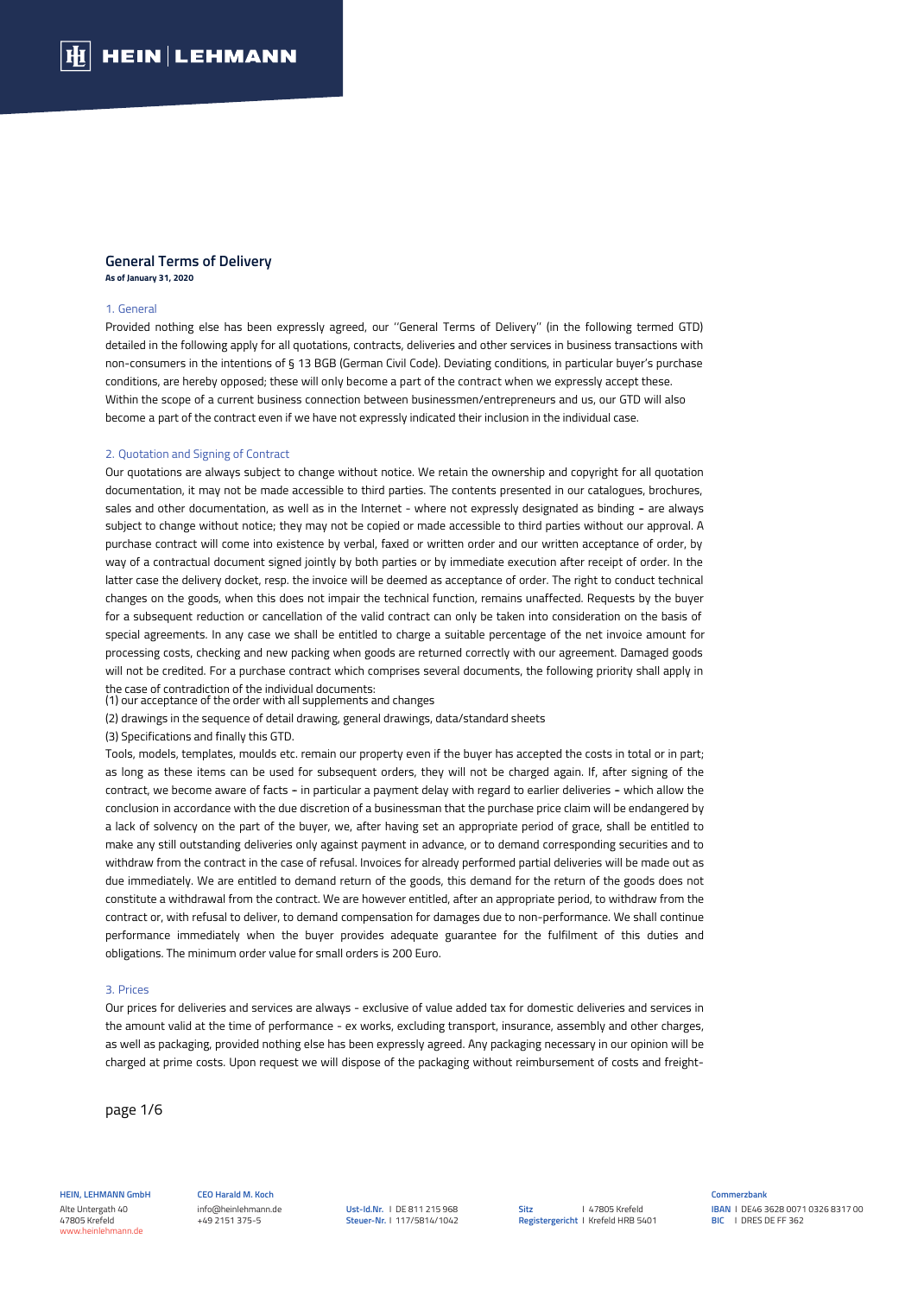### **General Terms of Delivery As of January 31, 2020**

#### 1. General

Provided nothing else has been expressly agreed, our ''General Terms of Delivery'' (in the following termed GTD) detailed in the following apply for all quotations, contracts, deliveries and other services in business transactions with non-consumers in the intentions of § 13 BGB (German Civil Code). Deviating conditions, in particular buyer's purchase conditions, are hereby opposed; these will only become a part of the contract when we expressly accept these. Within the scope of a current business connection between businessmen/entrepreneurs and us, our GTD will also become a part of the contract even if we have not expressly indicated their inclusion in the individual case.

### 2. Quotation and Signing of Contract

Our quotations are always subject to change without notice. We retain the ownership and copyright for all quotation documentation, it may not be made accessible to third parties. The contents presented in our catalogues, brochures, sales and other documentation, as well as in the Internet - where not expressly designated as binding - are always subject to change without notice; they may not be copied or made accessible to third parties without our approval. A purchase contract will come into existence by verbal, faxed or written order and our written acceptance of order, by way of a contractual document signed jointly by both parties or by immediate execution after receipt of order. In the latter case the delivery docket, resp. the invoice will be deemed as acceptance of order. The right to conduct technical changes on the goods, when this does not impair the technical function, remains unaffected. Requests by the buyer for a subsequent reduction or cancellation of the valid contract can only be taken into consideration on the basis of special agreements. In any case we shall be entitled to charge a suitable percentage of the net invoice amount for processing costs, checking and new packing when goods are returned correctly with our agreement. Damaged goods will not be credited. For a purchase contract which comprises several documents, the following priority shall apply in the case of contradiction of the individual documents:

(1) our acceptance of the order with all supplements and changes

(2) drawings in the sequence of detail drawing, general drawings, data/standard sheets

(3) Specifications and finally this GTD.

Tools, models, templates, moulds etc. remain our property even if the buyer has accepted the costs in total or in part; as long as these items can be used for subsequent orders, they will not be charged again. If, after signing of the contract, we become aware of facts - in particular a payment delay with regard to earlier deliveries - which allow the conclusion in accordance with the due discretion of a businessman that the purchase price claim will be endangered by a lack of solvency on the part of the buyer, we, after having set an appropriate period of grace, shall be entitled to make any still outstanding deliveries only against payment in advance, or to demand corresponding securities and to withdraw from the contract in the case of refusal. Invoices for already performed partial deliveries will be made out as due immediately. We are entitled to demand return of the goods, this demand for the return of the goods does not constitute a withdrawal from the contract. We are however entitled, after an appropriate period, to withdraw from the contract or, with refusal to deliver, to demand compensation for damages due to non-performance. We shall continue performance immediately when the buyer provides adequate guarantee for the fulfilment of this duties and obligations. The minimum order value for small orders is 200 Euro.

### 3. Prices

Our prices for deliveries and services are always - exclusive of value added tax for domestic deliveries and services in the amount valid at the time of performance - ex works, excluding transport, insurance, assembly and other charges, as well as packaging, provided nothing else has been expressly agreed. Any packaging necessary in our opinion will be charged at prime costs. Upon request we will dispose of the packaging without reimbursement of costs and freight-

page 1/6

**HEIN, LEHMANN GmbH** Alte Untergath 40 47805 Krefeld www.heinlehmann.de

**CEO Harald M. Koch**  info@heinlehmann.de +49 2151 375-5

**Ust-Id.Nr.** I DE 811 215 968 **Steuer-Nr.** I 117/5814/1042 **Sitz Registergericht** I Krefeld HRB 5401 I 47805 Krefeld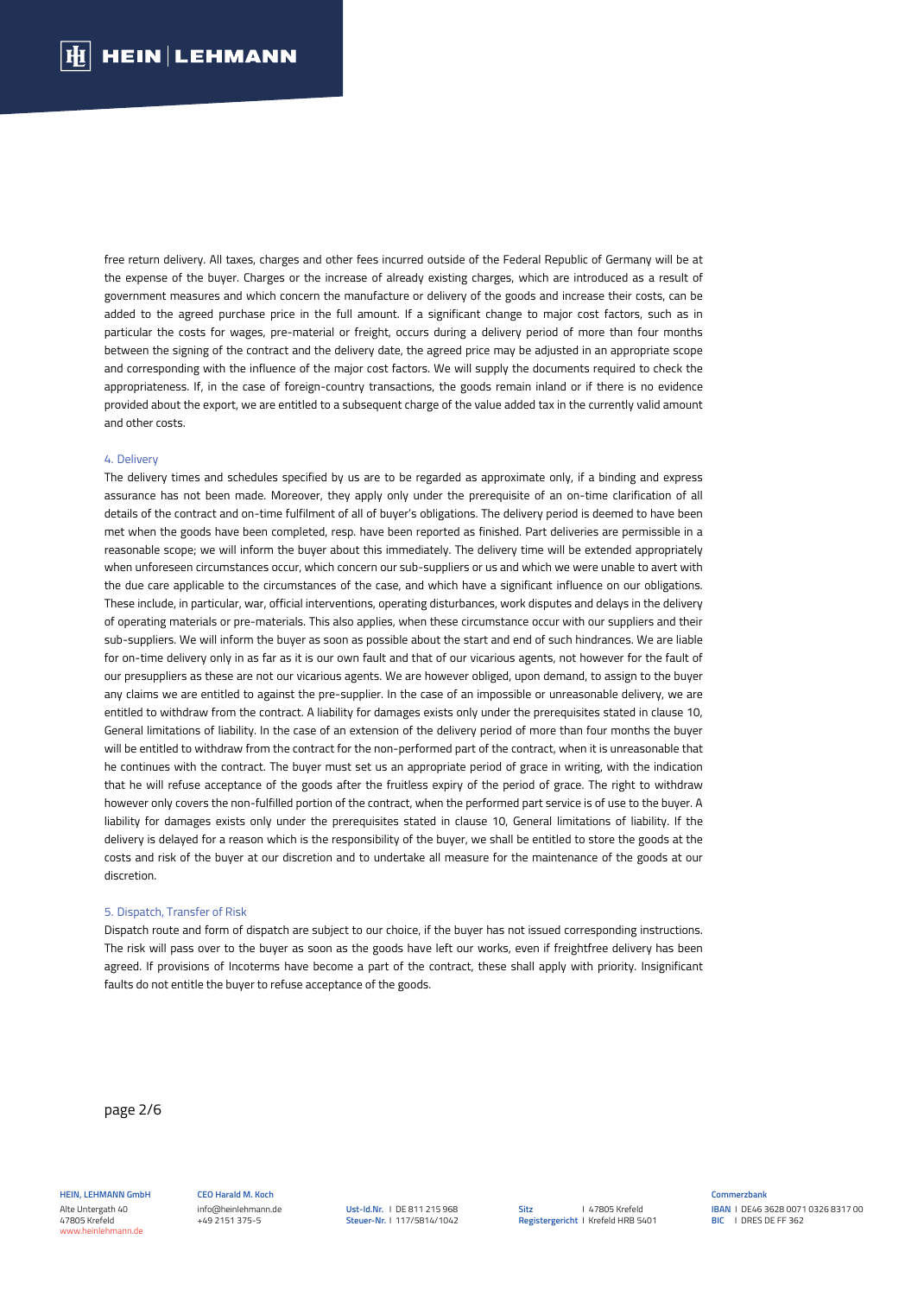free return delivery. All taxes, charges and other fees incurred outside of the Federal Republic of Germany will be at the expense of the buyer. Charges or the increase of already existing charges, which are introduced as a result of government measures and which concern the manufacture or delivery of the goods and increase their costs, can be added to the agreed purchase price in the full amount. If a significant change to major cost factors, such as in particular the costs for wages, pre-material or freight, occurs during a delivery period of more than four months between the signing of the contract and the delivery date, the agreed price may be adjusted in an appropriate scope and corresponding with the influence of the major cost factors. We will supply the documents required to check the appropriateness. If, in the case of foreign-country transactions, the goods remain inland or if there is no evidence provided about the export, we are entitled to a subsequent charge of the value added tax in the currently valid amount and other costs.

### 4. Delivery

The delivery times and schedules specified by us are to be regarded as approximate only, if a binding and express assurance has not been made. Moreover, they apply only under the prerequisite of an on-time clarification of all details of the contract and on-time fulfilment of all of buyer's obligations. The delivery period is deemed to have been met when the goods have been completed, resp. have been reported as finished. Part deliveries are permissible in a reasonable scope; we will inform the buyer about this immediately. The delivery time will be extended appropriately when unforeseen circumstances occur, which concern our sub-suppliers or us and which we were unable to avert with the due care applicable to the circumstances of the case, and which have a significant influence on our obligations. These include, in particular, war, official interventions, operating disturbances, work disputes and delays in the delivery of operating materials or pre-materials. This also applies, when these circumstance occur with our suppliers and their sub-suppliers. We will inform the buyer as soon as possible about the start and end of such hindrances. We are liable for on-time delivery only in as far as it is our own fault and that of our vicarious agents, not however for the fault of our presuppliers as these are not our vicarious agents. We are however obliged, upon demand, to assign to the buyer any claims we are entitled to against the pre-supplier. In the case of an impossible or unreasonable delivery, we are entitled to withdraw from the contract. A liability for damages exists only under the prerequisites stated in clause 10, General limitations of liability. In the case of an extension of the delivery period of more than four months the buyer will be entitled to withdraw from the contract for the non-performed part of the contract, when it is unreasonable that he continues with the contract. The buyer must set us an appropriate period of grace in writing, with the indication that he will refuse acceptance of the goods after the fruitless expiry of the period of grace. The right to withdraw however only covers the non-fulfilled portion of the contract, when the performed part service is of use to the buyer. A liability for damages exists only under the prerequisites stated in clause 10, General limitations of liability. If the delivery is delayed for a reason which is the responsibility of the buyer, we shall be entitled to store the goods at the costs and risk of the buyer at our discretion and to undertake all measure for the maintenance of the goods at our discretion.

#### 5. Dispatch, Transfer of Risk

Dispatch route and form of dispatch are subject to our choice, if the buyer has not issued corresponding instructions. The risk will pass over to the buyer as soon as the goods have left our works, even if freightfree delivery has been agreed. If provisions of Incoterms have become a part of the contract, these shall apply with priority. Insignificant faults do not entitle the buyer to refuse acceptance of the goods.

page 2/6

**HEIN, LEHMANN GmbH** Alte Untergath 40 47805 Krefeld www.heinlehmann.de

**CEO Harald M. Koch**  info@heinlehmann.de +49 2151 375-5

**Ust-Id.Nr.** I DE 811 215 968 **Steuer-Nr.** I 117/5814/1042 **Sitz Registergericht** I Krefeld HRB 5401 I 47805 Krefeld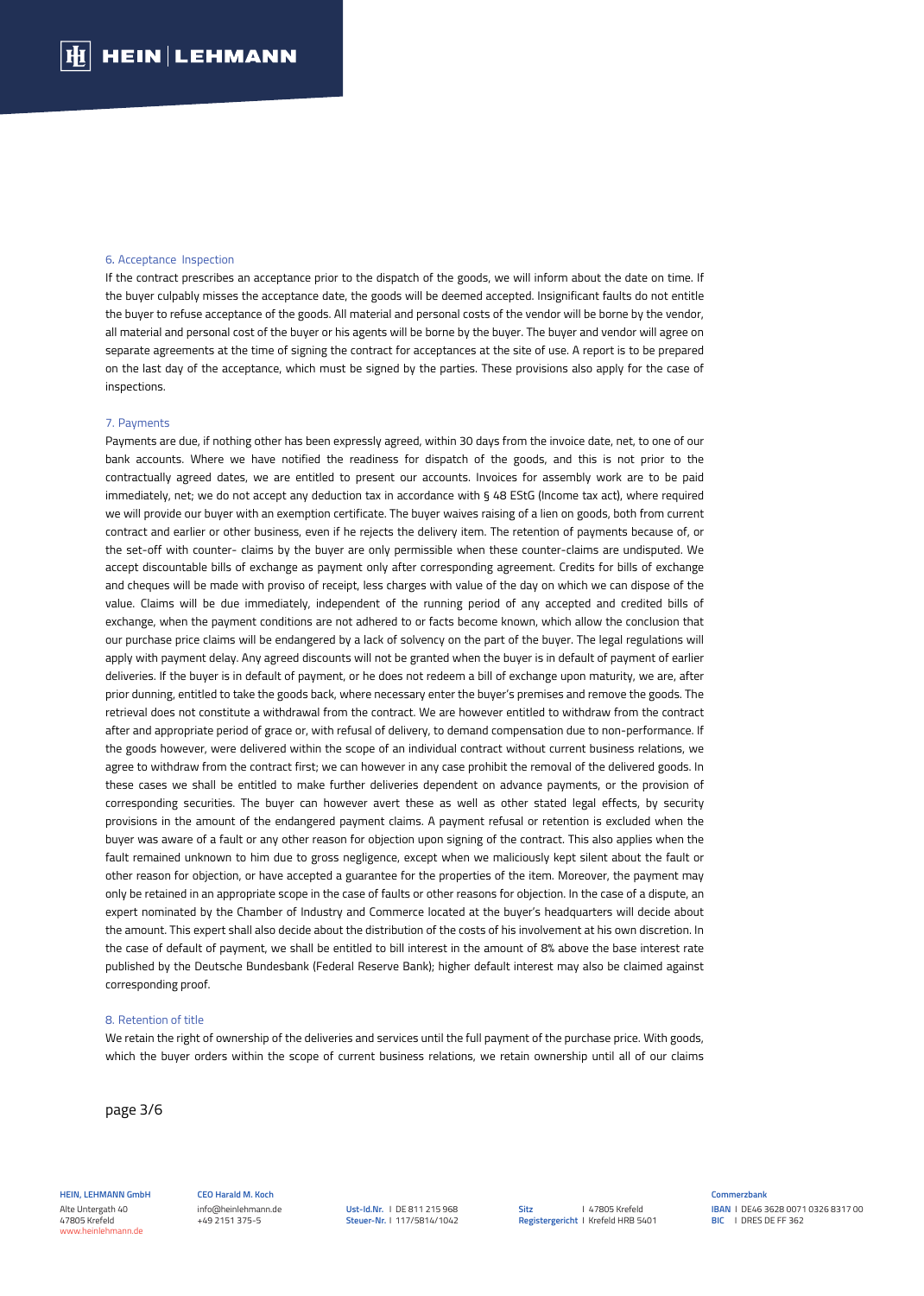### 6. Acceptance Inspection

If the contract prescribes an acceptance prior to the dispatch of the goods, we will inform about the date on time. If the buyer culpably misses the acceptance date, the goods will be deemed accepted. Insignificant faults do not entitle the buyer to refuse acceptance of the goods. All material and personal costs of the vendor will be borne by the vendor, all material and personal cost of the buyer or his agents will be borne by the buyer. The buyer and vendor will agree on separate agreements at the time of signing the contract for acceptances at the site of use. A report is to be prepared on the last day of the acceptance, which must be signed by the parties. These provisions also apply for the case of inspections.

### 7. Payments

Payments are due, if nothing other has been expressly agreed, within 30 days from the invoice date, net, to one of our bank accounts. Where we have notified the readiness for dispatch of the goods, and this is not prior to the contractually agreed dates, we are entitled to present our accounts. Invoices for assembly work are to be paid immediately, net; we do not accept any deduction tax in accordance with § 48 EStG (Income tax act), where required we will provide our buyer with an exemption certificate. The buyer waives raising of a lien on goods, both from current contract and earlier or other business, even if he rejects the delivery item. The retention of payments because of, or the set-off with counter- claims by the buyer are only permissible when these counter-claims are undisputed. We accept discountable bills of exchange as payment only after corresponding agreement. Credits for bills of exchange and cheques will be made with proviso of receipt, less charges with value of the day on which we can dispose of the value. Claims will be due immediately, independent of the running period of any accepted and credited bills of exchange, when the payment conditions are not adhered to or facts become known, which allow the conclusion that our purchase price claims will be endangered by a lack of solvency on the part of the buyer. The legal regulations will apply with payment delay. Any agreed discounts will not be granted when the buyer is in default of payment of earlier deliveries. If the buyer is in default of payment, or he does not redeem a bill of exchange upon maturity, we are, after prior dunning, entitled to take the goods back, where necessary enter the buyer's premises and remove the goods. The retrieval does not constitute a withdrawal from the contract. We are however entitled to withdraw from the contract after and appropriate period of grace or, with refusal of delivery, to demand compensation due to non-performance. If the goods however, were delivered within the scope of an individual contract without current business relations, we agree to withdraw from the contract first; we can however in any case prohibit the removal of the delivered goods. In these cases we shall be entitled to make further deliveries dependent on advance payments, or the provision of corresponding securities. The buyer can however avert these as well as other stated legal effects, by security provisions in the amount of the endangered payment claims. A payment refusal or retention is excluded when the buyer was aware of a fault or any other reason for objection upon signing of the contract. This also applies when the fault remained unknown to him due to gross negligence, except when we maliciously kept silent about the fault or other reason for objection, or have accepted a guarantee for the properties of the item. Moreover, the payment may only be retained in an appropriate scope in the case of faults or other reasons for objection. In the case of a dispute, an expert nominated by the Chamber of Industry and Commerce located at the buyer's headquarters will decide about the amount. This expert shall also decide about the distribution of the costs of his involvement at his own discretion. In the case of default of payment, we shall be entitled to bill interest in the amount of 8% above the base interest rate published by the Deutsche Bundesbank (Federal Reserve Bank); higher default interest may also be claimed against corresponding proof.

## 8. Retention of title

We retain the right of ownership of the deliveries and services until the full payment of the purchase price. With goods, which the buyer orders within the scope of current business relations, we retain ownership until all of our claims

page 3/6

**HEIN, LEHMANN GmbH** Alte Untergath 40 47805 Krefeld www.heinlehmann.de

**CEO Harald M. Koch**  info@heinlehmann.de +49 2151 375-5

**Ust-Id.Nr.** I DE 811 215 968 **Steuer-Nr.** I 117/5814/1042 **Sitz Registergericht** I Krefeld HRB 5401 I 47805 Krefeld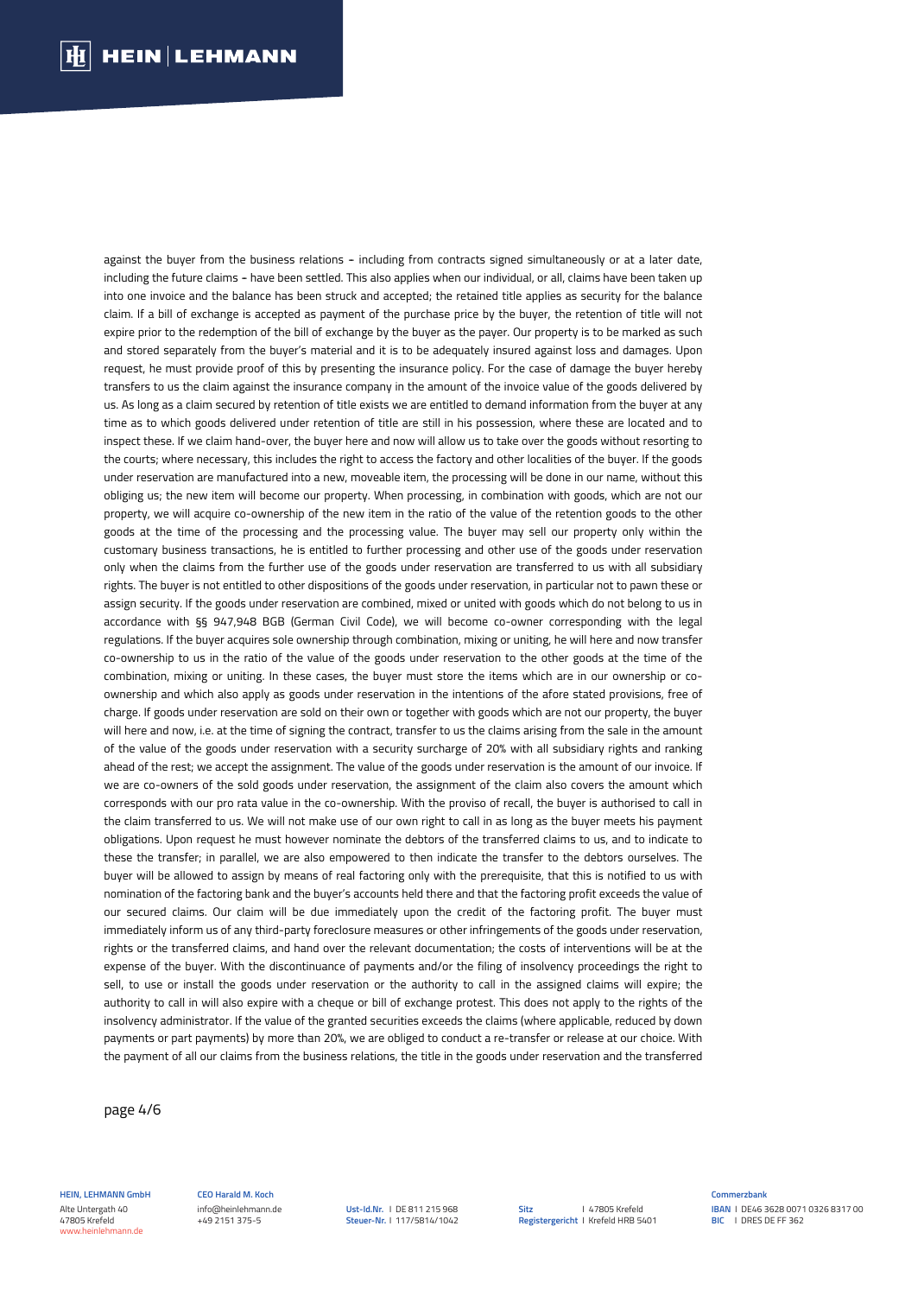against the buyer from the business relations - including from contracts signed simultaneously or at a later date, including the future claims - have been settled. This also applies when our individual, or all, claims have been taken up into one invoice and the balance has been struck and accepted; the retained title applies as security for the balance claim. If a bill of exchange is accepted as payment of the purchase price by the buyer, the retention of title will not expire prior to the redemption of the bill of exchange by the buyer as the payer. Our property is to be marked as such and stored separately from the buyer's material and it is to be adequately insured against loss and damages. Upon request, he must provide proof of this by presenting the insurance policy. For the case of damage the buyer hereby transfers to us the claim against the insurance company in the amount of the invoice value of the goods delivered by us. As long as a claim secured by retention of title exists we are entitled to demand information from the buyer at any time as to which goods delivered under retention of title are still in his possession, where these are located and to inspect these. If we claim hand-over, the buyer here and now will allow us to take over the goods without resorting to the courts; where necessary, this includes the right to access the factory and other localities of the buyer. If the goods under reservation are manufactured into a new, moveable item, the processing will be done in our name, without this obliging us; the new item will become our property. When processing, in combination with goods, which are not our property, we will acquire co-ownership of the new item in the ratio of the value of the retention goods to the other goods at the time of the processing and the processing value. The buyer may sell our property only within the customary business transactions, he is entitled to further processing and other use of the goods under reservation only when the claims from the further use of the goods under reservation are transferred to us with all subsidiary rights. The buyer is not entitled to other dispositions of the goods under reservation, in particular not to pawn these or assign security. If the goods under reservation are combined, mixed or united with goods which do not belong to us in accordance with §§ 947,948 BGB (German Civil Code), we will become co-owner corresponding with the legal regulations. If the buyer acquires sole ownership through combination, mixing or uniting, he will here and now transfer co-ownership to us in the ratio of the value of the goods under reservation to the other goods at the time of the combination, mixing or uniting. In these cases, the buyer must store the items which are in our ownership or coownership and which also apply as goods under reservation in the intentions of the afore stated provisions, free of charge. If goods under reservation are sold on their own or together with goods which are not our property, the buyer will here and now, i.e. at the time of signing the contract, transfer to us the claims arising from the sale in the amount of the value of the goods under reservation with a security surcharge of 20% with all subsidiary rights and ranking ahead of the rest; we accept the assignment. The value of the goods under reservation is the amount of our invoice. If we are co-owners of the sold goods under reservation, the assignment of the claim also covers the amount which corresponds with our pro rata value in the co-ownership. With the proviso of recall, the buyer is authorised to call in the claim transferred to us. We will not make use of our own right to call in as long as the buyer meets his payment obligations. Upon request he must however nominate the debtors of the transferred claims to us, and to indicate to these the transfer; in parallel, we are also empowered to then indicate the transfer to the debtors ourselves. The buyer will be allowed to assign by means of real factoring only with the prerequisite, that this is notified to us with nomination of the factoring bank and the buyer's accounts held there and that the factoring profit exceeds the value of our secured claims. Our claim will be due immediately upon the credit of the factoring profit. The buyer must immediately inform us of any third-party foreclosure measures or other infringements of the goods under reservation, rights or the transferred claims, and hand over the relevant documentation; the costs of interventions will be at the expense of the buyer. With the discontinuance of payments and/or the filing of insolvency proceedings the right to sell, to use or install the goods under reservation or the authority to call in the assigned claims will expire; the authority to call in will also expire with a cheque or bill of exchange protest. This does not apply to the rights of the insolvency administrator. If the value of the granted securities exceeds the claims (where applicable, reduced by down payments or part payments) by more than 20%, we are obliged to conduct a re-transfer or release at our choice. With the payment of all our claims from the business relations, the title in the goods under reservation and the transferred

page 4/6

**HEIN, LEHMANN GmbH** Alte Untergath 40 47805 Krefeld www.heinlehmann.de

#### **CEO Harald M. Koch**  info@heinlehmann.de +49 2151 375-5

**Ust-Id.Nr.** I DE 811 215 968 **Steuer-Nr.** I 117/5814/1042 **Sitz Registergericht** I Krefeld HRB 5401 I 47805 Krefeld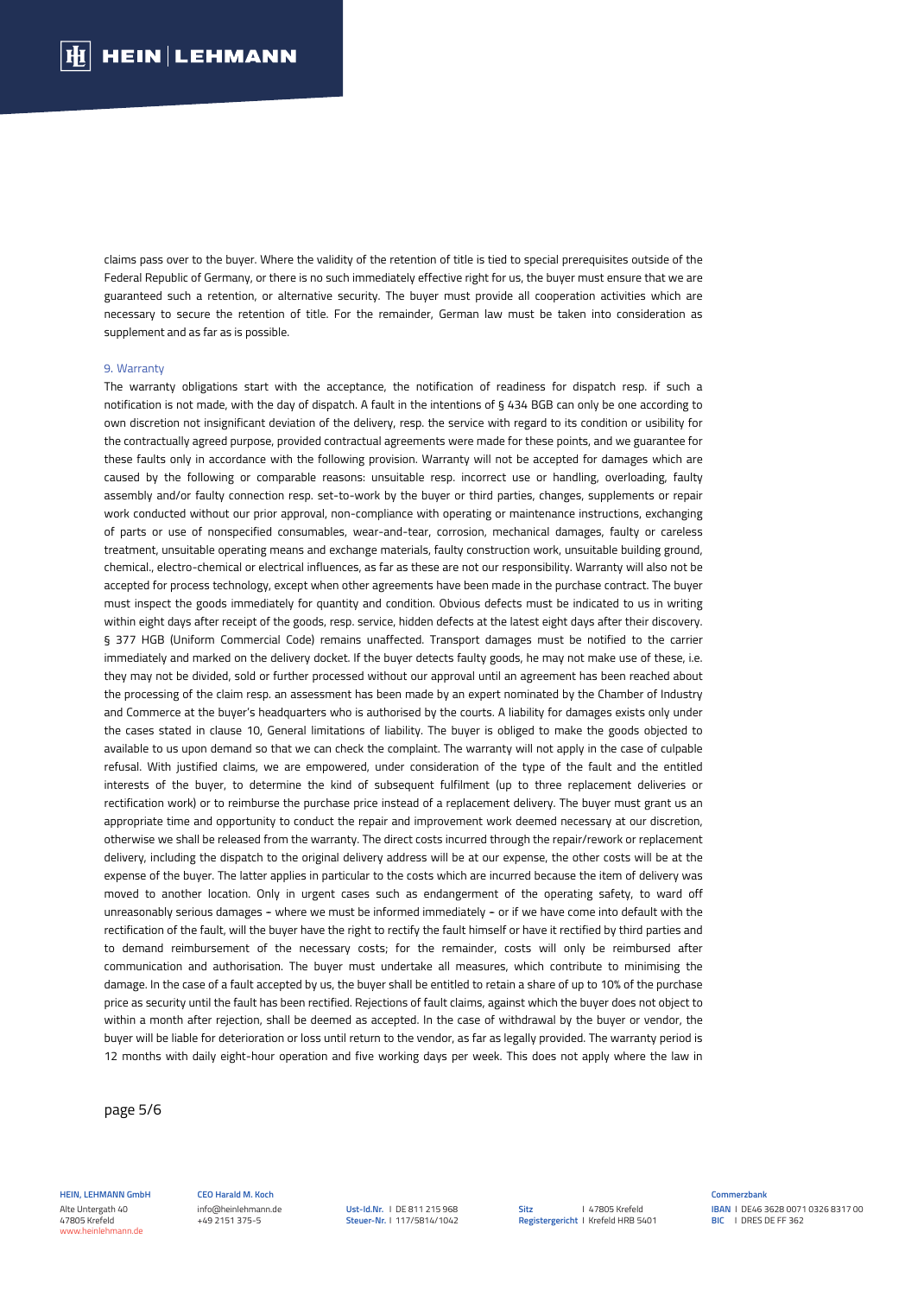claims pass over to the buyer. Where the validity of the retention of title is tied to special prerequisites outside of the Federal Republic of Germany, or there is no such immediately effective right for us, the buyer must ensure that we are guaranteed such a retention, or alternative security. The buyer must provide all cooperation activities which are necessary to secure the retention of title. For the remainder, German law must be taken into consideration as supplement and as far as is possible.

## 9. Warranty

The warranty obligations start with the acceptance, the notification of readiness for dispatch resp. if such a notification is not made, with the day of dispatch. A fault in the intentions of § 434 BGB can only be one according to own discretion not insignificant deviation of the delivery, resp. the service with regard to its condition or usibility for the contractually agreed purpose, provided contractual agreements were made for these points, and we guarantee for these faults only in accordance with the following provision. Warranty will not be accepted for damages which are caused by the following or comparable reasons: unsuitable resp. incorrect use or handling, overloading, faulty assembly and/or faulty connection resp. set-to-work by the buyer or third parties, changes, supplements or repair work conducted without our prior approval, non-compliance with operating or maintenance instructions, exchanging of parts or use of nonspecified consumables, wear-and-tear, corrosion, mechanical damages, faulty or careless treatment, unsuitable operating means and exchange materials, faulty construction work, unsuitable building ground, chemical., electro-chemical or electrical influences, as far as these are not our responsibility. Warranty will also not be accepted for process technology, except when other agreements have been made in the purchase contract. The buyer must inspect the goods immediately for quantity and condition. Obvious defects must be indicated to us in writing within eight days after receipt of the goods, resp. service, hidden defects at the latest eight days after their discovery. § 377 HGB (Uniform Commercial Code) remains unaffected. Transport damages must be notified to the carrier immediately and marked on the delivery docket. If the buyer detects faulty goods, he may not make use of these, i.e. they may not be divided, sold or further processed without our approval until an agreement has been reached about the processing of the claim resp. an assessment has been made by an expert nominated by the Chamber of Industry and Commerce at the buyer's headquarters who is authorised by the courts. A liability for damages exists only under the cases stated in clause 10, General limitations of liability. The buyer is obliged to make the goods objected to available to us upon demand so that we can check the complaint. The warranty will not apply in the case of culpable refusal. With justified claims, we are empowered, under consideration of the type of the fault and the entitled interests of the buyer, to determine the kind of subsequent fulfilment (up to three replacement deliveries or rectification work) or to reimburse the purchase price instead of a replacement delivery. The buyer must grant us an appropriate time and opportunity to conduct the repair and improvement work deemed necessary at our discretion, otherwise we shall be released from the warranty. The direct costs incurred through the repair/rework or replacement delivery, including the dispatch to the original delivery address will be at our expense, the other costs will be at the expense of the buyer. The latter applies in particular to the costs which are incurred because the item of delivery was moved to another location. Only in urgent cases such as endangerment of the operating safety, to ward off unreasonably serious damages - where we must be informed immediately - or if we have come into default with the rectification of the fault, will the buyer have the right to rectify the fault himself or have it rectified by third parties and to demand reimbursement of the necessary costs; for the remainder, costs will only be reimbursed after communication and authorisation. The buyer must undertake all measures, which contribute to minimising the damage. In the case of a fault accepted by us, the buyer shall be entitled to retain a share of up to 10% of the purchase price as security until the fault has been rectified. Rejections of fault claims, against which the buyer does not object to within a month after rejection, shall be deemed as accepted. In the case of withdrawal by the buyer or vendor, the buyer will be liable for deterioration or loss until return to the vendor, as far as legally provided. The warranty period is 12 months with daily eight-hour operation and five working days per week. This does not apply where the law in

page 5/6

**HEIN, LEHMANN GmbH** Alte Untergath 40 47805 Krefeld www.heinlehmann.de

**CEO Harald M. Koch**  info@heinlehmann.de +49 2151 375-5

**Ust-Id.Nr.** I DE 811 215 968 **Steuer-Nr.** I 117/5814/1042 **Sitz Registergericht** I Krefeld HRB 5401 I 47805 Krefeld